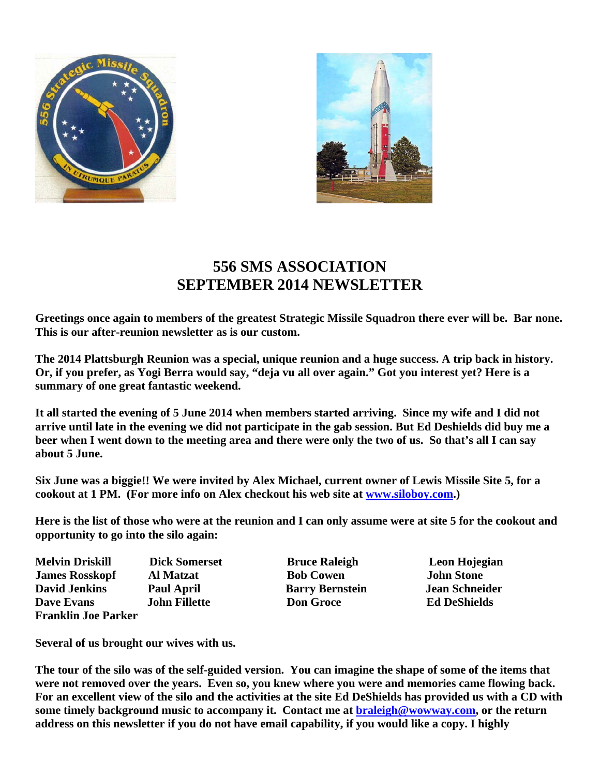



## **556 SMS ASSOCIATION SEPTEMBER 2014 NEWSLETTER**

**Greetings once again to members of the greatest Strategic Missile Squadron there ever will be. Bar none. This is our after-reunion newsletter as is our custom.** 

**The 2014 Plattsburgh Reunion was a special, unique reunion and a huge success. A trip back in history. Or, if you prefer, as Yogi Berra would say, "deja vu all over again." Got you interest yet? Here is a summary of one great fantastic weekend.** 

**It all started the evening of 5 June 2014 when members started arriving. Since my wife and I did not arrive until late in the evening we did not participate in the gab session. But Ed Deshields did buy me a beer when I went down to the meeting area and there were only the two of us. So that's all I can say about 5 June.** 

**Six June was a biggie!! We were invited by Alex Michael, current owner of Lewis Missile Site 5, for a cookout at 1 PM. (For more info on Alex checkout his web site at www.siloboy.com.)** 

**Here is the list of those who were at the reunion and I can only assume were at site 5 for the cookout and opportunity to go into the silo again:** 

**Melvin Driskill Dick Somerset Bruce Raleigh Leon Hojegian James Rosskopf Al Matzat Bob Cowen 10 John Stone David Jenkins Paul April Barry Bernstein Jean Schneider Dave Evans John Fillette Don Groce Ed DeShields Franklin Joe Parker** 

**Several of us brought our wives with us.** 

**The tour of the silo was of the self-guided version. You can imagine the shape of some of the items that were not removed over the years. Even so, you knew where you were and memories came flowing back. For an excellent view of the silo and the activities at the site Ed DeShields has provided us with a CD with**  some timely background music to accompany it. Contact me at **braleigh@wowway.com**, or the return **address on this newsletter if you do not have email capability, if you would like a copy. I highly**